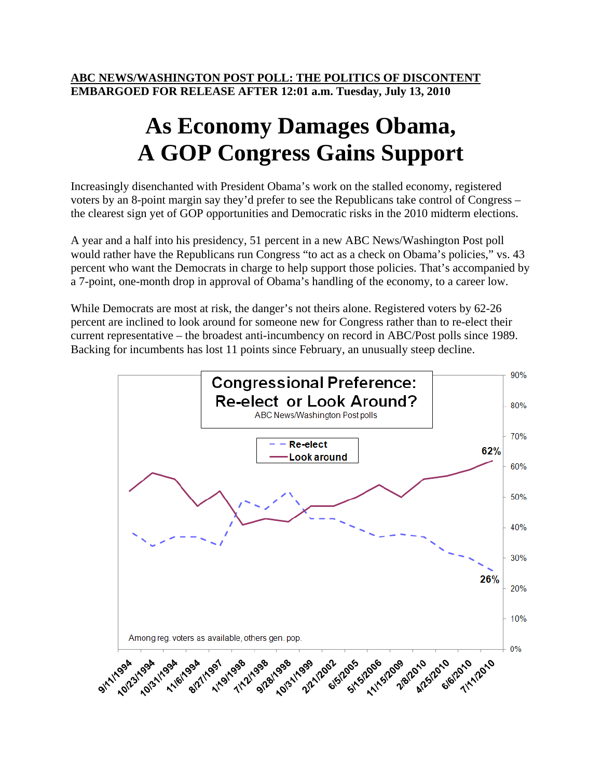**ABC NEWS/WASHINGTON POST POLL: THE POLITICS OF DISCONTENT EMBARGOED FOR RELEASE AFTER 12:01 a.m. Tuesday, July 13, 2010** 

## **As Economy Damages Obama, A GOP Congress Gains Support**

Increasingly disenchanted with President Obama's work on the stalled economy, registered voters by an 8-point margin say they'd prefer to see the Republicans take control of Congress – the clearest sign yet of GOP opportunities and Democratic risks in the 2010 midterm elections.

A year and a half into his presidency, 51 percent in a new ABC News/Washington Post poll would rather have the Republicans run Congress "to act as a check on Obama's policies," vs. 43 percent who want the Democrats in charge to help support those policies. That's accompanied by a 7-point, one-month drop in approval of Obama's handling of the economy, to a career low.

While Democrats are most at risk, the danger's not theirs alone. Registered voters by 62-26 percent are inclined to look around for someone new for Congress rather than to re-elect their current representative – the broadest anti-incumbency on record in ABC/Post polls since 1989. Backing for incumbents has lost 11 points since February, an unusually steep decline.

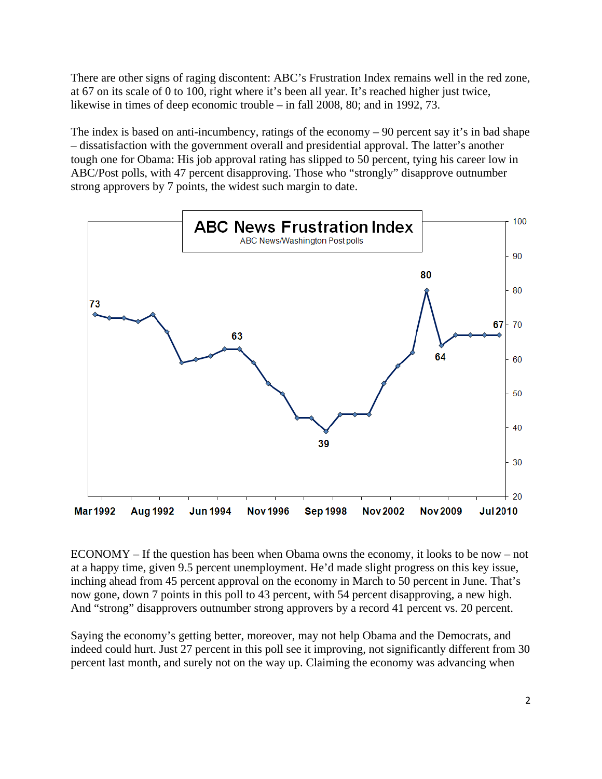There are other signs of raging discontent: ABC's Frustration Index remains well in the red zone, at 67 on its scale of 0 to 100, right where it's been all year. It's reached higher just twice, likewise in times of deep economic trouble – in fall 2008, 80; and in 1992, 73.

The index is based on anti-incumbency, ratings of the economy – 90 percent say it's in bad shape – dissatisfaction with the government overall and presidential approval. The latter's another tough one for Obama: His job approval rating has slipped to 50 percent, tying his career low in ABC/Post polls, with 47 percent disapproving. Those who "strongly" disapprove outnumber strong approvers by 7 points, the widest such margin to date.



ECONOMY – If the question has been when Obama owns the economy, it looks to be now – not at a happy time, given 9.5 percent unemployment. He'd made slight progress on this key issue, inching ahead from 45 percent approval on the economy in March to 50 percent in June. That's now gone, down 7 points in this poll to 43 percent, with 54 percent disapproving, a new high. And "strong" disapprovers outnumber strong approvers by a record 41 percent vs. 20 percent.

Saying the economy's getting better, moreover, may not help Obama and the Democrats, and indeed could hurt. Just 27 percent in this poll see it improving, not significantly different from 30 percent last month, and surely not on the way up. Claiming the economy was advancing when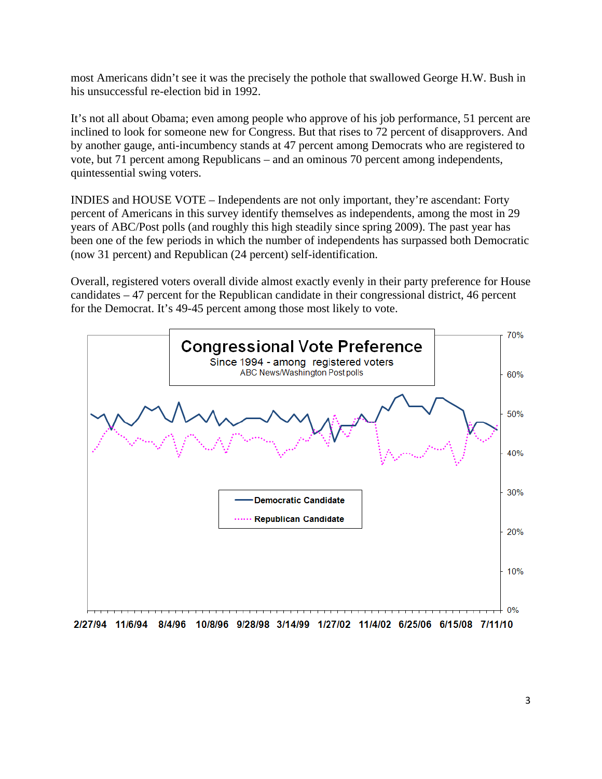most Americans didn't see it was the precisely the pothole that swallowed George H.W. Bush in his unsuccessful re-election bid in 1992.

It's not all about Obama; even among people who approve of his job performance, 51 percent are inclined to look for someone new for Congress. But that rises to 72 percent of disapprovers. And by another gauge, anti-incumbency stands at 47 percent among Democrats who are registered to vote, but 71 percent among Republicans – and an ominous 70 percent among independents, quintessential swing voters.

INDIES and HOUSE VOTE – Independents are not only important, they're ascendant: Forty percent of Americans in this survey identify themselves as independents, among the most in 29 years of ABC/Post polls (and roughly this high steadily since spring 2009). The past year has been one of the few periods in which the number of independents has surpassed both Democratic (now 31 percent) and Republican (24 percent) self-identification.

Overall, registered voters overall divide almost exactly evenly in their party preference for House candidates – 47 percent for the Republican candidate in their congressional district, 46 percent for the Democrat. It's 49-45 percent among those most likely to vote.



2/27/94 11/6/94 8/4/96 10/8/96 9/28/98 3/14/99 1/27/02 11/4/02 6/25/06 6/15/08 7/11/10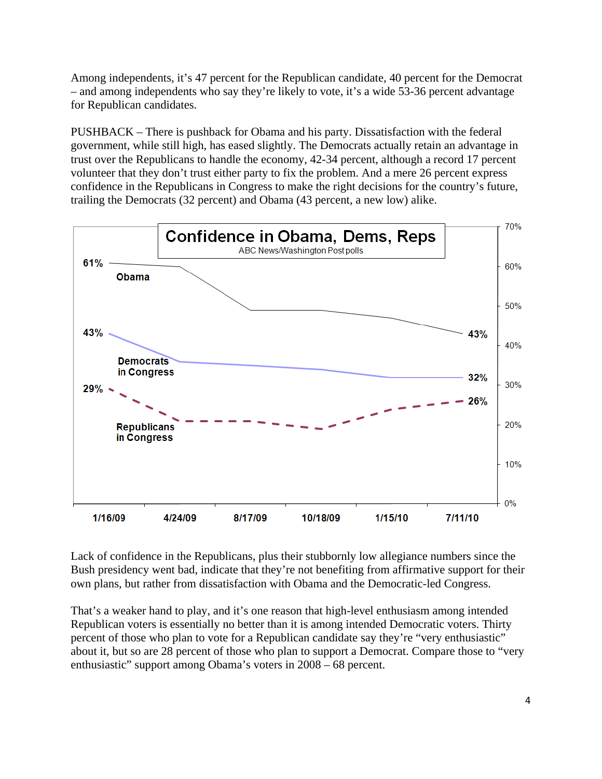Among independents, it's 47 percent for the Republican candidate, 40 percent for the Democrat – and among independents who say they're likely to vote, it's a wide 53-36 percent advantage for Republican candidates.

PUSHBACK – There is pushback for Obama and his party. Dissatisfaction with the federal government, while still high, has eased slightly. The Democrats actually retain an advantage in trust over the Republicans to handle the economy, 42-34 percent, although a record 17 percent volunteer that they don't trust either party to fix the problem. And a mere 26 percent express confidence in the Republicans in Congress to make the right decisions for the country's future, trailing the Democrats (32 percent) and Obama (43 percent, a new low) alike.



Lack of confidence in the Republicans, plus their stubbornly low allegiance numbers since the Bush presidency went bad, indicate that they're not benefiting from affirmative support for their own plans, but rather from dissatisfaction with Obama and the Democratic-led Congress.

That's a weaker hand to play, and it's one reason that high-level enthusiasm among intended Republican voters is essentially no better than it is among intended Democratic voters. Thirty percent of those who plan to vote for a Republican candidate say they're "very enthusiastic" about it, but so are 28 percent of those who plan to support a Democrat. Compare those to "very enthusiastic" support among Obama's voters in 2008 – 68 percent.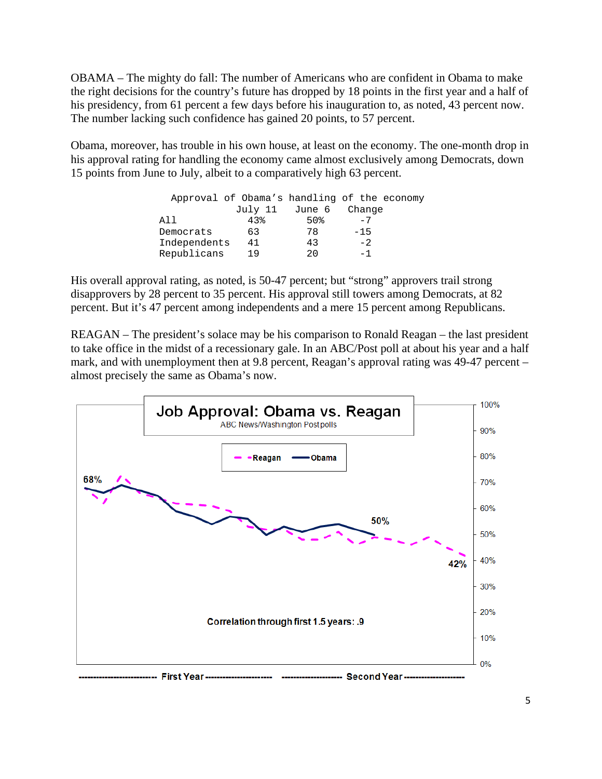OBAMA – The mighty do fall: The number of Americans who are confident in Obama to make the right decisions for the country's future has dropped by 18 points in the first year and a half of his presidency, from 61 percent a few days before his inauguration to, as noted, 43 percent now. The number lacking such confidence has gained 20 points, to 57 percent.

Obama, moreover, has trouble in his own house, at least on the economy. The one-month drop in his approval rating for handling the economy came almost exclusively among Democrats, down 15 points from June to July, albeit to a comparatively high 63 percent.

|              |     |                | Approval of Obama's handling of the economy |
|--------------|-----|----------------|---------------------------------------------|
|              |     | July 11 June 6 | Change                                      |
| A I I        | 43% | 50%            | $-7$                                        |
| Democrats    | 63  | 78             | $-15$                                       |
| Independents | 41  | 43             | $-2$                                        |
| Republicans  | 19  | $20 \Omega$    | $-1$                                        |

His overall approval rating, as noted, is 50-47 percent; but "strong" approvers trail strong disapprovers by 28 percent to 35 percent. His approval still towers among Democrats, at 82 percent. But it's 47 percent among independents and a mere 15 percent among Republicans.

REAGAN – The president's solace may be his comparison to Ronald Reagan – the last president to take office in the midst of a recessionary gale. In an ABC/Post poll at about his year and a half mark, and with unemployment then at 9.8 percent, Reagan's approval rating was 49-47 percent – almost precisely the same as Obama's now.

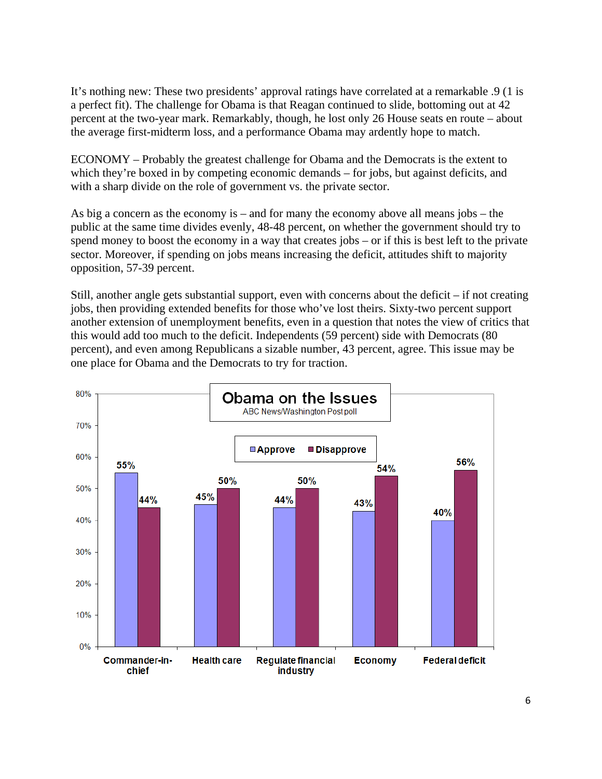It's nothing new: These two presidents' approval ratings have correlated at a remarkable .9 (1 is a perfect fit). The challenge for Obama is that Reagan continued to slide, bottoming out at 42 percent at the two-year mark. Remarkably, though, he lost only 26 House seats en route – about the average first-midterm loss, and a performance Obama may ardently hope to match.

ECONOMY – Probably the greatest challenge for Obama and the Democrats is the extent to which they're boxed in by competing economic demands – for jobs, but against deficits, and with a sharp divide on the role of government vs. the private sector.

As big a concern as the economy is – and for many the economy above all means jobs – the public at the same time divides evenly, 48-48 percent, on whether the government should try to spend money to boost the economy in a way that creates jobs – or if this is best left to the private sector. Moreover, if spending on jobs means increasing the deficit, attitudes shift to majority opposition, 57-39 percent.

Still, another angle gets substantial support, even with concerns about the deficit – if not creating jobs, then providing extended benefits for those who've lost theirs. Sixty-two percent support another extension of unemployment benefits, even in a question that notes the view of critics that this would add too much to the deficit. Independents (59 percent) side with Democrats (80 percent), and even among Republicans a sizable number, 43 percent, agree. This issue may be one place for Obama and the Democrats to try for traction.

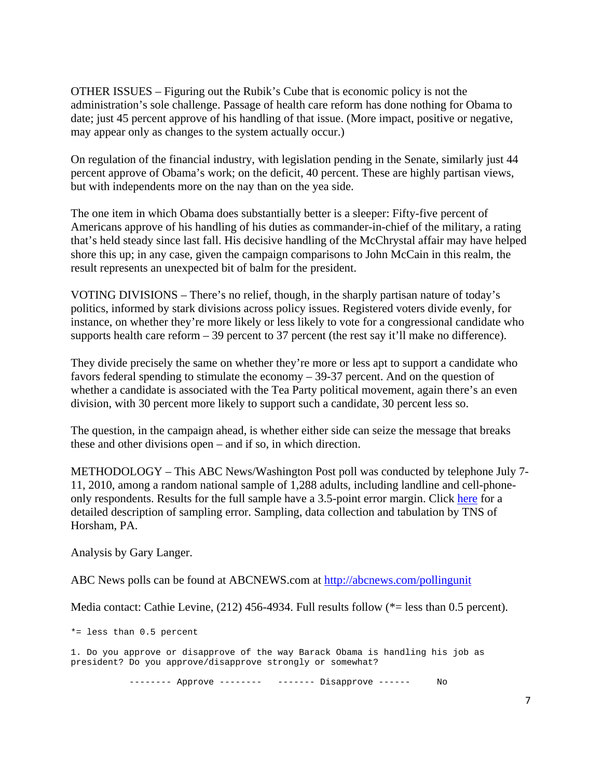OTHER ISSUES – Figuring out the Rubik's Cube that is economic policy is not the administration's sole challenge. Passage of health care reform has done nothing for Obama to date; just 45 percent approve of his handling of that issue. (More impact, positive or negative, may appear only as changes to the system actually occur.)

On regulation of the financial industry, with legislation pending in the Senate, similarly just 44 percent approve of Obama's work; on the deficit, 40 percent. These are highly partisan views, but with independents more on the nay than on the yea side.

The one item in which Obama does substantially better is a sleeper: Fifty-five percent of Americans approve of his handling of his duties as commander-in-chief of the military, a rating that's held steady since last fall. His decisive handling of the McChrystal affair may have helped shore this up; in any case, given the campaign comparisons to John McCain in this realm, the result represents an unexpected bit of balm for the president.

VOTING DIVISIONS – There's no relief, though, in the sharply partisan nature of today's politics, informed by stark divisions across policy issues. Registered voters divide evenly, for instance, on whether they're more likely or less likely to vote for a congressional candidate who supports health care reform  $-39$  percent to 37 percent (the rest say it'll make no difference).

They divide precisely the same on whether they're more or less apt to support a candidate who favors federal spending to stimulate the economy – 39-37 percent. And on the question of whether a candidate is associated with the Tea Party political movement, again there's an even division, with 30 percent more likely to support such a candidate, 30 percent less so.

The question, in the campaign ahead, is whether either side can seize the message that breaks these and other divisions open – and if so, in which direction.

METHODOLOGY – This ABC News/Washington Post poll was conducted by telephone July 7- 11, 2010, among a random national sample of 1,288 adults, including landline and cell-phoneonly respondents. Results for the full sample have a 3.5-point error margin. Click here for a detailed description of sampling error. Sampling, data collection and tabulation by TNS of Horsham, PA.

Analysis by Gary Langer.

ABC News polls can be found at ABCNEWS.com at http://abcnews.com/pollingunit

Media contact: Cathie Levine, (212) 456-4934. Full results follow (\*= less than 0.5 percent).

\*= less than 0.5 percent

1. Do you approve or disapprove of the way Barack Obama is handling his job as president? Do you approve/disapprove strongly or somewhat?

------- Approve -------- ------- Disapprove ------ No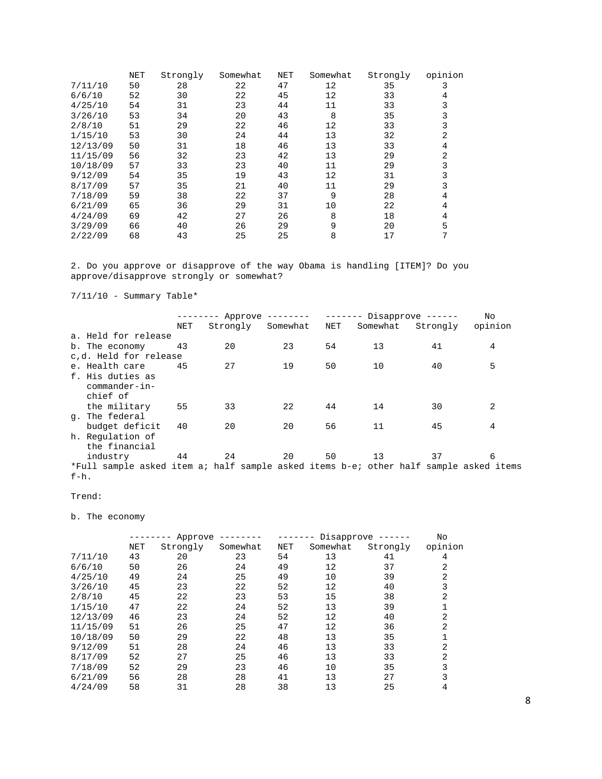|          | NET | Strongly | Somewhat | NET | Somewhat | Strongly | opinion |
|----------|-----|----------|----------|-----|----------|----------|---------|
| 7/11/10  | 50  | 28       | 22       | 47  | 12       | 35       | 3       |
| 6/6/10   | 52  | 30       | 22       | 45  | 12       | 33       | 4       |
| 4/25/10  | 54  | 31       | 23       | 44  | 11       | 33       |         |
| 3/26/10  | 53  | 34       | 20       | 43  | 8        | 35       | 3       |
| 2/8/10   | 51  | 29       | 22       | 46  | 12       | 33       | 3       |
| 1/15/10  | 53  | 30       | 24       | 44  | 13       | 32       | 2       |
| 12/13/09 | 50  | 31       | 18       | 46  | 13       | 33       | 4       |
| 11/15/09 | 56  | 32       | 23       | 42  | 13       | 29       | 2       |
| 10/18/09 | 57  | 33       | 23       | 40  | 11       | 29       | 3       |
| 9/12/09  | 54  | 35       | 19       | 43  | 12       | 31       | 3       |
| 8/17/09  | 57  | 35       | 21       | 40  | 11       | 29       | 3       |
| 7/18/09  | 59  | 38       | 22       | 37  | 9        | 28       | 4       |
| 6/21/09  | 65  | 36       | 29       | 31  | 10       | 22       | 4       |
| 4/24/09  | 69  | 42       | 27       | 26  | 8        | 18       | 4       |
| 3/29/09  | 66  | 40       | 26       | 29  | 9        | 20       | 5       |
| 2/22/09  | 68  | 43       | 25       | 25  | 8        | 17       | 7       |

2. Do you approve or disapprove of the way Obama is handling [ITEM]? Do you approve/disapprove strongly or somewhat?

7/11/10 - Summary Table\*

|                                                                                       |     | $------$ Approve -------- |          |     |          | $-----$ Disapprove $---$ | <b>No</b>      |
|---------------------------------------------------------------------------------------|-----|---------------------------|----------|-----|----------|--------------------------|----------------|
|                                                                                       | NET | Strongly                  | Somewhat | NET | Somewhat | Strongly                 | opinion        |
| a. Held for release                                                                   |     |                           |          |     |          |                          |                |
| b. The economy                                                                        | 43  | 20                        | 23       | 54  | 13       | 41                       | 4              |
| c,d. Held for release                                                                 |     |                           |          |     |          |                          |                |
| e. Health care                                                                        | 45  | 27                        | 19       | 50  | 10       | 40                       | 5              |
| f. His duties as                                                                      |     |                           |          |     |          |                          |                |
| commander-in-                                                                         |     |                           |          |     |          |                          |                |
| chief of                                                                              |     |                           |          |     |          |                          |                |
| the military                                                                          | 55  | 33                        | 22       | 44  | 14       | 30                       | $\overline{2}$ |
| q. The federal                                                                        |     |                           |          |     |          |                          |                |
| budget deficit                                                                        | 40  | 20                        | 20       | 56  | 11       | 45                       | 4              |
| h. Regulation of                                                                      |     |                           |          |     |          |                          |                |
| the financial                                                                         |     |                           |          |     |          |                          |                |
| industry                                                                              | 44  | 24                        | 20       | 50  | 13       | 37                       | 6              |
| *Full sample asked item a; half sample asked items b-e; other half sample asked items |     |                           |          |     |          |                          |                |
| $f-h.$                                                                                |     |                           |          |     |          |                          |                |

## Trend:

b. The economy

|          |            | Approve  |          |            |          | Disapprove ------ | No      |
|----------|------------|----------|----------|------------|----------|-------------------|---------|
|          | <b>NET</b> | Strongly | Somewhat | <b>NET</b> | Somewhat | Strongly          | opinion |
| 7/11/10  | 43         | 20       | 23       | 54         | 13       | 41                | 4       |
| 6/6/10   | 50         | 26       | 24       | 49         | 12       | 37                | 2       |
| 4/25/10  | 49         | 24       | 25       | 49         | 10       | 39                | 2       |
| 3/26/10  | 45         | 23       | 22       | 52         | 12       | 40                | 3       |
| 2/8/10   | 45         | 22       | 23       | 53         | 15       | 38                | 2       |
| 1/15/10  | 47         | 22       | 24       | 52         | 13       | 39                |         |
| 12/13/09 | 46         | 23       | 24       | 52         | 12       | 40                | 2       |
| 11/15/09 | 51         | 26       | 25       | 47         | 12       | 36                | 2       |
| 10/18/09 | 50         | 29       | 22       | 48         | 13       | 35                | 1       |
| 9/12/09  | 51         | 28       | 24       | 46         | 13       | 33                | 2       |
| 8/17/09  | 52         | 27       | 25       | 46         | 13       | 33                | 2       |
| 7/18/09  | 52         | 29       | 23       | 46         | 10       | 35                | 3       |
| 6/21/09  | 56         | 28       | 28       | 41         | 13       | 27                | 3       |
| 4/24/09  | 58         | 31       | 28       | 38         | 13       | 25                | 4       |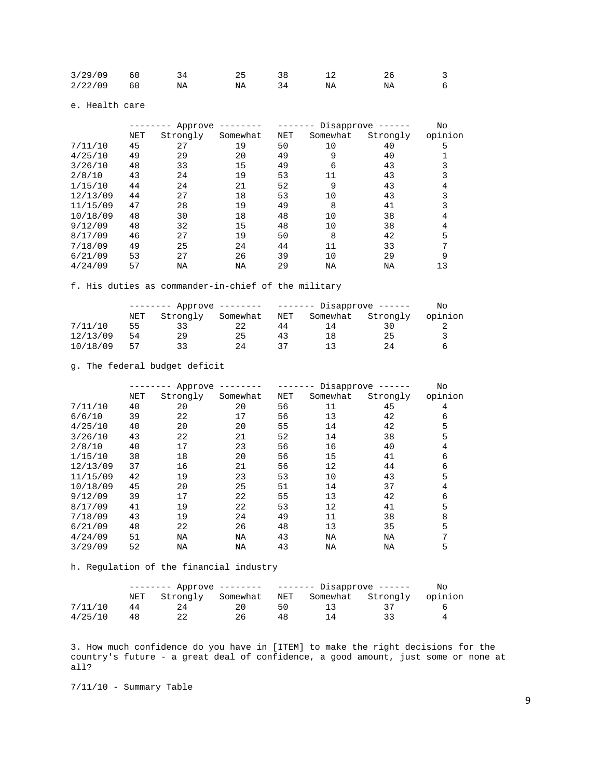| 3/29/09 | 60 |    |    |    |  |
|---------|----|----|----|----|--|
| 2/22/09 | 60 | NΆ | NA | NA |  |

e. Health care

|          |            | Approve  |          |            | Disapprove ------ |          |         |  |
|----------|------------|----------|----------|------------|-------------------|----------|---------|--|
|          | <b>NET</b> | Strongly | Somewhat | <b>NET</b> | Somewhat          | Strongly | opinion |  |
| 7/11/10  | 45         | 27       | 19       | 50         | 10                | 40       | 5       |  |
| 4/25/10  | 49         | 29       | 20       | 49         | 9                 | 40       |         |  |
| 3/26/10  | 48         | 33       | 15       | 49         | 6                 | 43       |         |  |
| 2/8/10   | 43         | 24       | 19       | 53         | 11                | 43       |         |  |
| 1/15/10  | 44         | 24       | 21       | 52         | 9                 | 43       | 4       |  |
| 12/13/09 | 44         | 27       | 18       | 53         | 10                | 43       |         |  |
| 11/15/09 | 47         | 28       | 19       | 49         | 8                 | 41       |         |  |
| 10/18/09 | 48         | 30       | 18       | 48         | 10                | 38       | 4       |  |
| 9/12/09  | 48         | 32       | 15       | 48         | 10                | 38       | 4       |  |
| 8/17/09  | 46         | 27       | 19       | 50         | 8                 | 42       | 5       |  |
| 7/18/09  | 49         | 25       | 24       | 44         | 11                | 33       | 7       |  |
| 6/21/09  | 53         | 27       | 26       | 39         | 10                | 29       | 9       |  |
| 4/24/09  | 57         | ΝA       | ΝA       | 29         | NA                | NA       | 13      |  |

f. His duties as commander-in-chief of the military

|          | $Approve$ -------- |          |          |            | $-----$ Disapprove $---$ |          |         |  |
|----------|--------------------|----------|----------|------------|--------------------------|----------|---------|--|
|          | NET                | Strongly | Somewhat | <b>NET</b> | Somewhat                 | Strongly | opinion |  |
| 7/11/10  | 55                 |          |          | 44         | 14                       |          |         |  |
| 12/13/09 | 54                 | 29       | 25       | 43         | 18                       | 25       |         |  |
| 10/18/09 | 57                 |          | 24       |            |                          | 24       |         |  |

g. The federal budget deficit

|          |     | Approve  |          |            | Disapprove ------<br>------- |          |         |  |
|----------|-----|----------|----------|------------|------------------------------|----------|---------|--|
|          | NET | Strongly | Somewhat | <b>NET</b> | Somewhat                     | Strongly | opinion |  |
| 7/11/10  | 40  | 20       | 20       | 56         | 11                           | 45       | 4       |  |
| 6/6/10   | 39  | 22       | 17       | 56         | 13                           | 42       | 6       |  |
| 4/25/10  | 40  | 20       | 20       | 55         | 14                           | 42       | 5       |  |
| 3/26/10  | 43  | 22       | 21       | 52         | 14                           | 38       | 5       |  |
| 2/8/10   | 40  | 17       | 23       | 56         | 16                           | 40       | 4       |  |
| 1/15/10  | 38  | 18       | 20       | 56         | 15                           | 41       | 6       |  |
| 12/13/09 | 37  | 16       | 21       | 56         | 12                           | 44       | 6       |  |
| 11/15/09 | 42  | 19       | 23       | 53         | 10                           | 43       | 5       |  |
| 10/18/09 | 45  | 20       | 25       | 51         | 14                           | 37       | 4       |  |
| 9/12/09  | 39  | 17       | 22       | 55         | 13                           | 42       | 6       |  |
| 8/17/09  | 41  | 19       | 22       | 53         | 12                           | 41       | 5       |  |
| 7/18/09  | 43  | 19       | 24       | 49         | 11                           | 38       | 8       |  |
| 6/21/09  | 48  | 22       | 26       | 48         | 13                           | 35       | 5       |  |
| 4/24/09  | 51  | ΝA       | ΝA       | 43         | ΝA                           | ΝA       | 7       |  |
| 3/29/09  | 52  | ΝA       | ΝA       | 43         | NA                           | ΝA       | 5       |  |

h. Regulation of the financial industry

|         |     | -------- Approve -------- |          | ------- Disapprove ------ | No                |  |         |
|---------|-----|---------------------------|----------|---------------------------|-------------------|--|---------|
|         | NET | Strongly                  | Somewhat | NET                       | Somewhat Strongly |  | opinion |
| 7/11/10 | 44  | 24                        | 20       | 50                        |                   |  |         |
| 4/25/10 |     |                           | 26       | 48                        |                   |  |         |

3. How much confidence do you have in [ITEM] to make the right decisions for the country's future - a great deal of confidence, a good amount, just some or none at all?

7/11/10 - Summary Table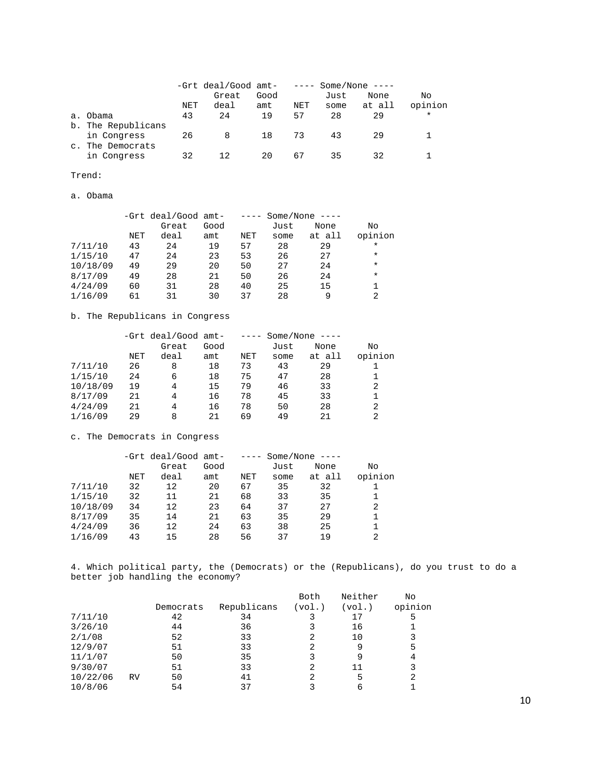|                |                    |     | -Grt deal/Good amt- |      | $\qquad \qquad - - - -$ |      | Some/None $---$ |          |
|----------------|--------------------|-----|---------------------|------|-------------------------|------|-----------------|----------|
|                |                    |     | Great               | Good |                         | Just | None            | No       |
|                |                    | NET | deal                | amt  | NET                     | some | at all          | opinion  |
| a <sub>1</sub> | Obama              | 43  | 24                  | 19   | 57                      | 28   | 29              | $^\star$ |
|                | b. The Republicans |     |                     |      |                         |      |                 |          |
|                | in Congress        | 26  | 8                   | 18   | 73                      | 43   | 29              |          |
| $\mathbb{C}$ . | The Democrats      |     |                     |      |                         |      |                 |          |
|                | in Congress        | 32  |                     | 20   | 67                      | 35   | 32              |          |

Trend:

a. Obama

|          |     | -Grt deal/Good amt- |      | $- - - - -$ |      | Some/None $---$ |         |
|----------|-----|---------------------|------|-------------|------|-----------------|---------|
|          |     | Great               | Good |             | Just | None            | No      |
|          | NET | deal                | amt  | NET         | some | at all          | opinion |
| 7/11/10  | 43  | 24                  | 19   | 57          | 28   | 29              | $\ast$  |
| 1/15/10  | 47  | 24                  | 23   | 53          | 26   | 27              | $\ast$  |
| 10/18/09 | 49  | 29                  | 20   | 50          | 27   | 24              | $\ast$  |
| 8/17/09  | 49  | 28                  | 21   | 50          | 26   | 24              | $\ast$  |
| 4/24/09  | 60  | 31                  | 28   | 40          | 25   | 15              |         |
| 1/16/09  | 61  | 31                  | 30   | 37          | 28   | 9               | 2       |

b. The Republicans in Congress

|          |     | -Grt deal/Good amt- |      | $- - - - -$ |      | Some/None $---$ |         |
|----------|-----|---------------------|------|-------------|------|-----------------|---------|
|          |     | Great               | Good |             | Just | None            | No      |
|          | NET | deal                | amt  | NET         | some | at all          | opinion |
| 7/11/10  | 26  | 8                   | 18   | 73          | 43   | 29              |         |
| 1/15/10  | 24  | 6                   | 18   | 75          | 47   | 28              |         |
| 10/18/09 | 19  | 4                   | 15   | 79          | 46   | 33              | 2       |
| 8/17/09  | 21  | 4                   | 16   | 78          | 45   | 33              |         |
| 4/24/09  | 21  | 4                   | 16   | 78          | 50   | 28              | 2       |
| 1/16/09  | 29  | 8                   | 21   | 69          | 49   | 21              | 2       |

## c. The Democrats in Congress

|          |     | -Grt deal/Good amt- |      | $- - - -$ |      | Some/None $---$ |         |
|----------|-----|---------------------|------|-----------|------|-----------------|---------|
|          |     | Great               | Good |           | Just | None            | No      |
|          | NET | deal                | amt  | NET       | some | at all          | opinion |
| 7/11/10  | 32  | 12                  | 20   | 67        | 35   | 32              |         |
| 1/15/10  | 32  | 11                  | 21   | 68        | 33   | 35              |         |
| 10/18/09 | 34  | 12                  | 23   | 64        | 37   | 27              | 2       |
| 8/17/09  | 35  | 14                  | 21   | 63        | 35   | 29              |         |
| 4/24/09  | 36  | 12                  | 24   | 63        | 38   | 25              |         |
| 1/16/09  | 43  | 15                  | 28   | 56        | 37   | 19              | 2       |

4. Which political party, the (Democrats) or the (Republicans), do you trust to do a better job handling the economy?

|          |    |           |             | Both   | Neither | No      |
|----------|----|-----------|-------------|--------|---------|---------|
|          |    | Democrats | Republicans | (vol.) | (vol.)  | opinion |
| 7/11/10  |    | 42        | 34          |        | 17      | 5       |
| 3/26/10  |    | 44        | 36          |        | 16      |         |
| 2/1/08   |    | 52        | 33          |        | 10      | 3       |
| 12/9/07  |    | 51        | 33          |        | 9       | 5       |
| 11/1/07  |    | 50        | 35          |        | 9       | 4       |
| 9/30/07  |    | 51        | 33          | 2      | 11      | 3       |
| 10/22/06 | RV | 50        | 41          |        | 5       | 2       |
| 10/8/06  |    | 54        | 37          |        | 6       |         |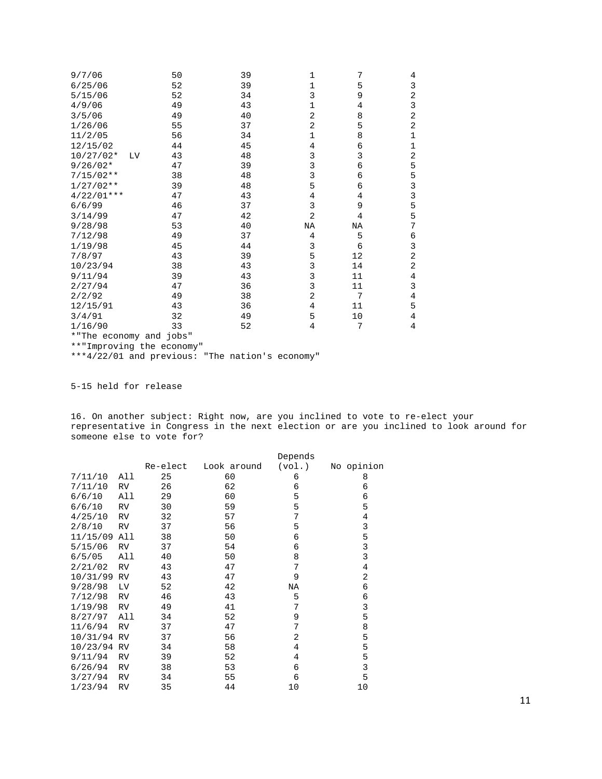| 9/7/06                    |    | 50 | 39 | $\mathbf 1$  | 7  | 4              |
|---------------------------|----|----|----|--------------|----|----------------|
| 6/25/06                   |    | 52 | 39 | 1            | 5  | 3              |
| 5/15/06                   |    | 52 | 34 | 3            | 9  | 2              |
| 4/9/06                    |    | 49 | 43 | $\mathbf{1}$ | 4  | 3              |
| 3/5/06                    |    | 49 | 40 | 2            | 8  | 2              |
| 1/26/06                   |    | 55 | 37 | 2            | 5  | 2              |
| 11/2/05                   |    | 56 | 34 | $\mathbf 1$  | 8  | 1              |
| 12/15/02                  |    | 44 | 45 | 4            | 6  | $\mathbf 1$    |
| $10/27/02*$               | LV | 43 | 48 | 3            | 3  | 2              |
| $9/26/02*$                |    | 47 | 39 | 3            | 6  | 5              |
| $7/15/02**$               |    | 38 | 48 | 3            | 6  | 5              |
| $1/27/02**$               |    | 39 | 48 | 5            | 6  | 3              |
| $4/22/01***$              |    | 47 | 43 | 4            | 4  | 3              |
| 6/6/99                    |    | 46 | 37 | 3            | 9  | 5              |
| 3/14/99                   |    | 47 | 42 | 2            | 4  | 5              |
| 9/28/98                   |    | 53 | 40 | ΝA           | ΝA | 7              |
| 7/12/98                   |    | 49 | 37 | 4            | 5  | 6              |
| 1/19/98                   |    | 45 | 44 | 3            | 6  | 3              |
| 7/8/97                    |    | 43 | 39 | 5            | 12 | $\overline{2}$ |
| 10/23/94                  |    | 38 | 43 | 3            | 14 | 2              |
| 9/11/94                   |    | 39 | 43 | 3            | 11 | 4              |
| 2/27/94                   |    | 47 | 36 | 3            | 11 | 3              |
| 2/2/92                    |    | 49 | 38 | 2            | 7  | 4              |
| 12/15/91                  |    | 43 | 36 | 4            | 11 | 5              |
| 3/4/91                    |    | 32 | 49 | 5            | 10 | 4              |
| 1/16/90                   |    | 33 | 52 | 4            | 7  | 4              |
| *"The economy and jobs"   |    |    |    |              |    |                |
| **"Improving the economy" |    |    |    |              |    |                |

\*\*\*4/22/01 and previous: "The nation's economy"

5-15 held for release

16. On another subject: Right now, are you inclined to vote to re-elect your representative in Congress in the next election or are you inclined to look around for someone else to vote for?

|             |           |          |             | Depends |            |
|-------------|-----------|----------|-------------|---------|------------|
|             |           | Re-elect | Look around | (vol.)  | No opinion |
| 7/11/10     | All       | 25       | 60          | 6       | 8          |
| 7/11/10     | RV        | 26       | 62          | 6       | 6          |
| 6/6/10      | All       | 29       | 60          | 5       | 6          |
| 6/6/10      | RV        | 30       | 59          | 5       | 5          |
| 4/25/10     | <b>RV</b> | 32       | 57          | 7       | 4          |
| 2/8/10      | RV        | 37       | 56          | 5       | 3          |
| 11/15/09    | All       | 38       | 50          | 6       | 5          |
| 5/15/06     | RV        | 37       | 54          | 6       | 3          |
| 6/5/05      | All       | 40       | 50          | 8       | 3          |
| 2/21/02     | <b>RV</b> | 43       | 47          | 7       | 4          |
| 10/31/99    | <b>RV</b> | 43       | 47          | 9       | 2          |
| 9/28/98     | Lν        | 52       | 42          | ΝA      | 6          |
| 7/12/98     | RV        | 46       | 43          | 5       | 6          |
| 1/19/98     | RV        | 49       | 41          | 7       | 3          |
| 8/27/97     | All       | 34       | 52          | 9       | 5          |
| 11/6/94     | <b>RV</b> | 37       | 47          | 7       | 8          |
| 10/31/94 RV |           | 37       | 56          | 2       | 5          |
| 10/23/94 RV |           | 34       | 58          | 4       | 5          |
| 9/11/94     | <b>RV</b> | 39       | 52          | 4       | 5          |
| 6/26/94     | <b>RV</b> | 38       | 53          | 6       | 3          |
| 3/27/94     | <b>RV</b> | 34       | 55          | 6       | 5          |
| 1/23/94     | RV        | 35       | 44          | 10      | 10         |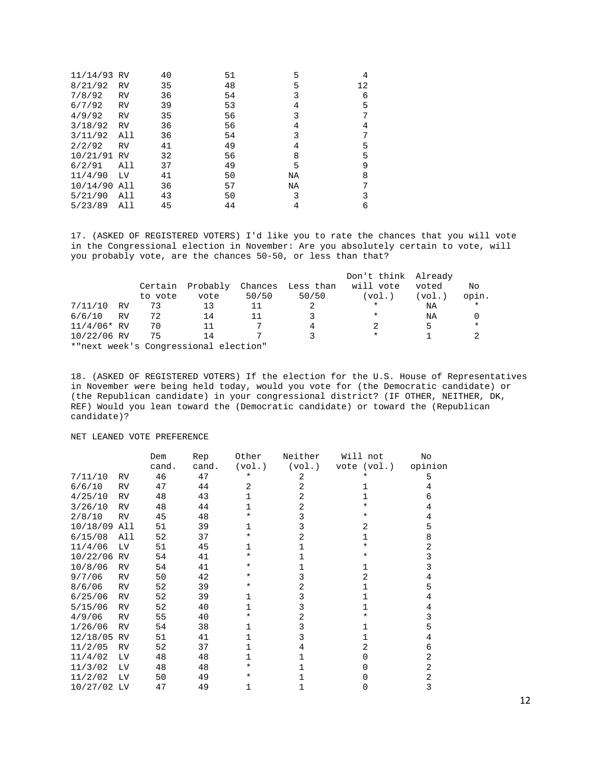| 11/14/93 RV |           | 40 | 51 | 5  | 4  |
|-------------|-----------|----|----|----|----|
| 8/21/92     | <b>RV</b> | 35 | 48 | 5  | 12 |
| 7/8/92      | <b>RV</b> | 36 | 54 | 3  | 6  |
| 6/7/92      | <b>RV</b> | 39 | 53 | 4  | 5  |
| 4/9/92      | <b>RV</b> | 35 | 56 | 3  |    |
| 3/18/92     | <b>RV</b> | 36 | 56 | 4  | 4  |
| 3/11/92     | All       | 36 | 54 | 3  |    |
| 2/2/92      | <b>RV</b> | 41 | 49 | 4  | 5  |
| 10/21/91    | <b>RV</b> | 32 | 56 | 8  | 5  |
| 6/2/91      | All       | 37 | 49 | 5  | 9  |
| 11/4/90     | LV        | 41 | 50 | ΝA | 8  |
| 10/14/90    | All       | 36 | 57 | ΝA | 7  |
| 5/21/90     | All       | 43 | 50 | 3  | 3  |
| 5/23/89     | All       | 45 | 44 | 4  | 6  |

17. (ASKED OF REGISTERED VOTERS) I'd like you to rate the chances that you will vote in the Congressional election in November: Are you absolutely certain to vote, will you probably vote, are the chances 50-50, or less than that?

|               |    |         |                                       |         |           | Don't think Already |        |         |
|---------------|----|---------|---------------------------------------|---------|-----------|---------------------|--------|---------|
|               |    | Certain | Probably                              | Chances | Less than | will vote           | voted  | No      |
|               |    | to vote | vote                                  | 50/50   | 50/50     | (vol.)              | (vol.) | opin.   |
| 7/11/10       | RV | 73      | 13                                    | 11      |           | $\ast$              | NA     | $\star$ |
| 6/6/10        | RV | 72      | 14                                    | 11      |           | $^\star$            | ΝA     |         |
| $11/4/06*$ RV |    | 70      | 11                                    |         | 4         |                     |        | $\star$ |
| 10/22/06 RV   |    | 75      | 14                                    |         |           | $\ast$              |        |         |
|               |    |         | *"next week's Congressional election" |         |           |                     |        |         |

18. (ASKED OF REGISTERED VOTERS) If the election for the U.S. House of Representatives in November were being held today, would you vote for (the Democratic candidate) or (the Republican candidate) in your congressional district? (IF OTHER, NEITHER, DK, REF) Would you lean toward the (Democratic candidate) or toward the (Republican candidate)?

NET LEANED VOTE PREFERENCE

|             |           | Dem   | Rep   | Other        | Neither        | Will not    | No      |
|-------------|-----------|-------|-------|--------------|----------------|-------------|---------|
|             |           | cand. | cand. | (vol.)       | (vol.)         | vote (vol.) | opinion |
| 7/11/10     | <b>RV</b> | 46    | 47    | $\ast$       | 2              |             | 5       |
| 6/6/10      | <b>RV</b> | 47    | 44    | 2            | 2              |             | 4       |
| 4/25/10     | <b>RV</b> | 48    | 43    |              | 2              |             | 6       |
| 3/26/10     | RV        | 48    | 44    | 1            | $\overline{2}$ | $\star$     | 4       |
| 2/8/10      | <b>RV</b> | 45    | 48    | ¥            | 3              |             | 4       |
| 10/18/09    | All       | 51    | 39    | 1            | 3              | 2           | 5       |
| 6/15/08     | All       | 52    | 37    | ¥            | 2              | 1           | 8       |
| 11/4/06     | LV        | 51    | 45    | 1            |                | $^\star$    | 2       |
| 10/22/06    | <b>RV</b> | 54    | 41    | *            |                |             | 3       |
| 10/8/06     | RV        | 54    | 41    | $^\star$     |                |             | 3       |
| 9/7/06      | <b>RV</b> | 50    | 42    | $^\star$     | 3              | 2           | 4       |
| 8/6/06      | <b>RV</b> | 52    | 39    | *            | 2              |             | 5       |
| 6/25/06     | RV        | 52    | 39    | $\mathbf{1}$ | 3              |             | 4       |
| 5/15/06     | RV        | 52    | 40    | 1            | 3              |             | 4       |
| 4/9/06      | <b>RV</b> | 55    | 40    | ¥            | 2              |             | 3       |
| 1/26/06     | <b>RV</b> | 54    | 38    | 1            | 3              |             | 5       |
| 12/18/05    | RV        | 51    | 41    | 1            | 3              |             | 4       |
| 11/2/05     | <b>RV</b> | 52    | 37    | 1            | 4              | 2           | 6       |
| 11/4/02     | LV        | 48    | 48    |              |                | O.          | 2       |
| 11/3/02     | LV        | 48    | 48    | $\star$      |                |             | 2       |
| 11/2/02     | LV        | 50    | 49    | *            |                |             | 2       |
| 10/27/02 LV |           | 47    | 49    | 1            |                | 0           | 3       |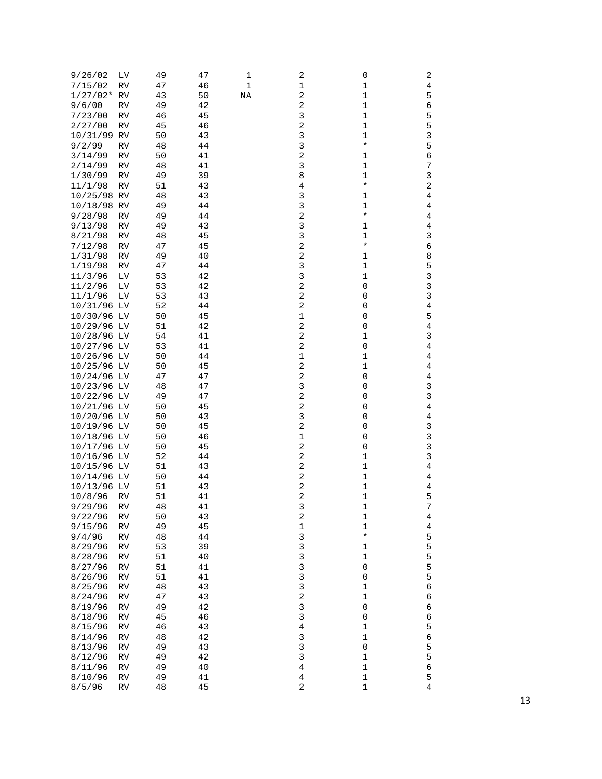| 9/26/02     | LV       | 49 | 47 | 1  | 2                       | 0           | 2              |
|-------------|----------|----|----|----|-------------------------|-------------|----------------|
| 7/15/02     | RV       | 47 | 46 | 1  | 1                       | $\mathbf 1$ | 4              |
| $1/27/02*$  | RV       | 43 | 50 | ΝA | 2                       | 1           | 5              |
| 9/6/00      | RV       | 49 | 42 |    | 2                       | $1\,$       | 6              |
| 7/23/00     | RV       | 46 | 45 |    | 3                       | $1\,$       | 5              |
| 2/27/00     | RV       | 45 | 46 |    | 2                       | 1           | 5              |
| 10/31/99    | RV       | 50 | 43 |    | 3                       | $1\,$       | 3              |
| 9/2/99      | RV       | 48 | 44 |    | 3                       | $\star$     | 5              |
| 3/14/99     | RV       | 50 | 41 |    | 2                       | 1           | 6              |
| 2/14/99     | RV       | 48 | 41 |    | 3                       | 1           | 7              |
| 1/30/99     | RV       | 49 | 39 |    | 8                       | $1\,$       | 3              |
| 11/1/98     | RV       | 51 | 43 |    | $\overline{4}$          | $\star$     | 2              |
| 10/25/98 RV |          | 48 | 43 |    | 3                       | 1           | 4              |
| 10/18/98 RV |          | 49 | 44 |    | 3                       | $1\,$       | 4              |
| 9/28/98     | RV       | 49 | 44 |    | 2                       | $^\star$    | $\overline{4}$ |
| 9/13/98     | RV       | 49 | 43 |    | 3                       | 1           | 4              |
| 8/21/98     | RV       | 48 | 45 |    | 3                       | $1\,$       | 3              |
| 7/12/98     | RV       | 47 | 45 |    | 2                       | $^\star$    | 6              |
| 1/31/98     | RV       | 49 | 40 |    | 2                       | 1           | 8              |
| 1/19/98     | RV       | 47 | 44 |    | 3                       | 1           | 5              |
| 11/3/96     | LV       | 53 | 42 |    | 3                       | $\mathbf 1$ | 3              |
| 11/2/96     | $\rm LV$ | 53 | 42 |    | 2                       | $\mathsf 0$ | $\mathsf 3$    |
| 11/1/96     | Lν       | 53 | 43 |    | 2                       | 0           | 3              |
| 10/31/96 LV |          | 52 | 44 |    | $\sqrt{2}$              | 0           | 4              |
| 10/30/96 LV |          | 50 | 45 |    | 1                       | 0           | 5              |
| 10/29/96 LV |          | 51 | 42 |    | 2                       | 0           | $\overline{4}$ |
| 10/28/96 LV |          | 54 | 41 |    | 2                       | $1\,$       | 3              |
| 10/27/96 LV |          |    |    |    | 2                       | $\mathsf 0$ |                |
|             |          | 53 | 41 |    |                         |             | 4              |
| 10/26/96 LV |          | 50 | 44 |    | 1                       | $1\,$       | 4              |
| 10/25/96 LV |          | 50 | 45 |    | 2                       | 1           | 4              |
| 10/24/96 LV |          | 47 | 47 |    | 2                       | 0           | 4              |
| 10/23/96 LV |          | 48 | 47 |    | 3                       | 0           | 3              |
| 10/22/96 LV |          | 49 | 47 |    | 2                       | 0           | 3              |
| 10/21/96 LV |          | 50 | 45 |    | $\overline{\mathbf{c}}$ | 0           | 4              |
| 10/20/96 LV |          | 50 | 43 |    | 3                       | 0           | 4              |
| 10/19/96 LV |          | 50 | 45 |    | 2                       | 0           | 3              |
| 10/18/96 LV |          | 50 | 46 |    | $\mathbf 1$             | 0           | 3              |
| 10/17/96 LV |          | 50 | 45 |    | $\overline{\mathbf{c}}$ | $\mathsf 0$ | 3              |
| 10/16/96 LV |          | 52 | 44 |    | 2                       | $1\,$       | 3              |
| 10/15/96 LV |          | 51 | 43 |    | 2                       | $1\,$       | 4              |
| 10/14/96 LV |          | 50 | 44 |    | $\overline{\mathbf{c}}$ | $\mathbf 1$ | 4              |
| 10/13/96 LV |          | 51 | 43 |    | 2                       | $1\,$       | 4              |
| 10/8/96     | RV       | 51 | 41 |    | 2                       | 1           | 5              |
| 9/29/96     | RV       | 48 | 41 |    | 3                       | $1\,$       | 7              |
| 9/22/96     | RV       | 50 | 43 |    | 2                       | 1           | 4              |
| 9/15/96     | RV       | 49 | 45 |    | 1                       | $\mathbf 1$ | 4              |
| 9/4/96      | RV       | 48 | 44 |    | 3                       | $^\star$    | 5              |
| 8/29/96     | RV       | 53 | 39 |    | 3                       | $\mathbf 1$ | 5              |
| 8/28/96     | RV       | 51 | 40 |    | 3                       | $1\,$       | 5              |
| 8/27/96     | RV       | 51 | 41 |    | 3                       | $\mathsf 0$ | 5              |
| 8/26/96     | RV       | 51 | 41 |    | 3                       | $\mathsf 0$ | 5              |
| 8/25/96     | RV       | 48 | 43 |    | 3                       | $1\,$       | 6              |
| 8/24/96     | RV       | 47 | 43 |    | $\sqrt{2}$              | $\mathbf 1$ | 6              |
| 8/19/96     | RV       | 49 | 42 |    | 3                       | $\mathsf 0$ | 6              |
| 8/18/96     | RV       | 45 | 46 |    | 3                       | $\mathsf 0$ | 6              |
| 8/15/96     | RV       | 46 | 43 |    | 4                       | $1\,$       | 5              |
| 8/14/96     | RV       | 48 | 42 |    | 3                       | $\mathbf 1$ | 6              |
| 8/13/96     | RV       | 49 | 43 |    | 3                       | $\mathbf 0$ | 5              |
| 8/12/96     | RV       | 49 | 42 |    | 3                       | $1\,$       | 5              |
| 8/11/96     | RV       | 49 | 40 |    | 4                       | $\mathbf 1$ | 6              |
| 8/10/96     | RV       | 49 | 41 |    | 4                       | $\mathbf 1$ | 5              |
| 8/5/96      | RV       | 48 | 45 |    | 2                       | $\mathbf 1$ | 4              |
|             |          |    |    |    |                         |             |                |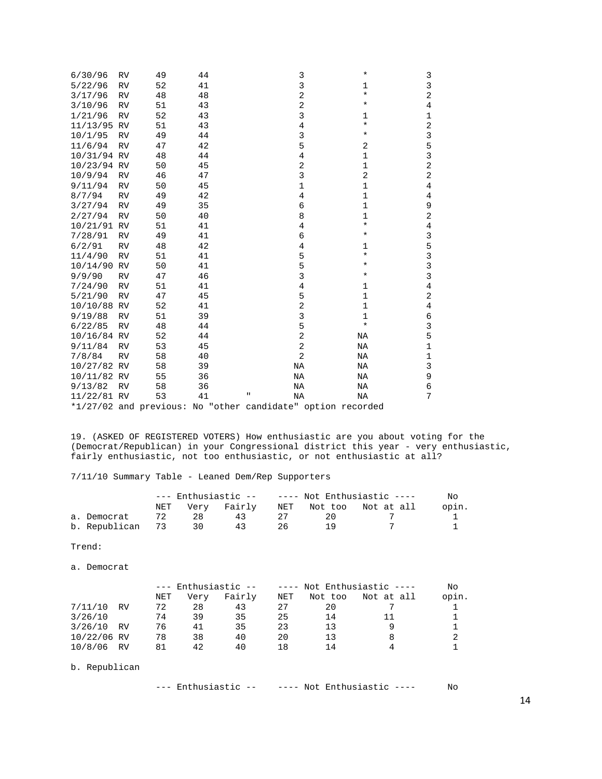| 6/30/96     | <b>RV</b> | 49 | 44 | 3                                                           | *             | 3              |
|-------------|-----------|----|----|-------------------------------------------------------------|---------------|----------------|
| 5/22/96     | <b>RV</b> | 52 | 41 | 3                                                           |               | 3              |
|             |           |    |    | 2                                                           | 1<br>*        | 2              |
| 3/17/96     | <b>RV</b> | 48 | 48 | 2                                                           | *             |                |
| 3/10/96     | <b>RV</b> | 51 | 43 |                                                             |               | 4              |
| 1/21/96     | <b>RV</b> | 52 | 43 | 3                                                           | 1<br>$^\star$ | 1              |
| 11/13/95    | RV        | 51 | 43 | 4                                                           |               | $\overline{a}$ |
| 10/1/95     | <b>RV</b> | 49 | 44 | 3                                                           | *             | 3              |
| 11/6/94     | <b>RV</b> | 47 | 42 | 5                                                           | 2             | 5              |
| 10/31/94 RV |           | 48 | 44 | 4                                                           | $\mathbf 1$   | 3              |
| 10/23/94 RV |           | 50 | 45 | 2                                                           | 1             | $\overline{a}$ |
| 10/9/94     | <b>RV</b> | 46 | 47 | 3                                                           | 2             | 2              |
| 9/11/94     | <b>RV</b> | 50 | 45 | 1                                                           | 1             | 4              |
| 8/7/94      | <b>RV</b> | 49 | 42 | 4                                                           | 1             | 4              |
| 3/27/94     | RV        | 49 | 35 | 6                                                           | 1             | 9              |
| 2/27/94     | <b>RV</b> | 50 | 40 | 8                                                           | 1             | 2              |
| 10/21/91    | <b>RV</b> | 51 | 41 | 4                                                           | $^\star$      | 4              |
| 7/28/91     | <b>RV</b> | 49 | 41 | 6                                                           | *             | 3              |
| 6/2/91      | <b>RV</b> | 48 | 42 | 4                                                           | $\mathbf 1$   | 5              |
| 11/4/90     | <b>RV</b> | 51 | 41 | 5                                                           | *             | 3              |
| 10/14/90    | <b>RV</b> | 50 | 41 | 5                                                           | *             | 3              |
| 9/9/90      | <b>RV</b> | 47 | 46 | 3                                                           | *             | 3              |
| 7/24/90     | <b>RV</b> | 51 | 41 | 4                                                           | 1             | 4              |
| 5/21/90     | <b>RV</b> | 47 | 45 | 5                                                           | 1             | 2              |
| 10/10/88 RV |           | 52 | 41 | 2                                                           | 1             | 4              |
| 9/19/88     | <b>RV</b> | 51 | 39 | 3                                                           | 1             | 6              |
| 6/22/85     | <b>RV</b> | 48 | 44 | 5                                                           | $^\star$      | 3              |
| 10/16/84 RV |           | 52 | 44 | $\overline{2}$                                              | NA            | 5              |
| 9/11/84     | <b>RV</b> | 53 | 45 | 2                                                           | NA            | $\mathbf 1$    |
| 7/8/84      | <b>RV</b> | 58 | 40 | $\overline{2}$                                              | NA            | 1              |
| 10/27/82 RV |           | 58 | 39 | NA                                                          | NA            | 3              |
| 10/11/82 RV |           | 55 | 36 | NA                                                          | NA            | 9              |
| 9/13/82     | <b>RV</b> | 58 | 36 | NA                                                          | NA            | 6              |
| 11/22/81 RV |           | 53 | 41 | Ħ<br>NA                                                     | NA            | 7              |
|             |           |    |    | *1/27/02 and previous: No "other candidate" option recorded |               |                |

19. (ASKED OF REGISTERED VOTERS) How enthusiastic are you about voting for the (Democrat/Republican) in your Congressional district this year - very enthusiastic, fairly enthusiastic, not too enthusiastic, or not enthusiastic at all?

7/11/10 Summary Table - Leaned Dem/Rep Supporters

|                  | $---$ Enthusiastic -- $---$ Not Enthusiastic ---- |     |             |                     | Nο |                        |       |
|------------------|---------------------------------------------------|-----|-------------|---------------------|----|------------------------|-------|
|                  | NET                                               |     | Very Fairly |                     |    | NET Not too Not at all | opin. |
| a. Democrat      |                                                   | -28 | 43          | $\cdot$ ) $\cdot$ / | 20 |                        |       |
| b. Republican 73 |                                                   | 30  | 43          | 26                  |    |                        |       |

Trend:

a. Democrat

|             |    | --- Enthusiastic -- |      |        |     | $---$ Not Enthusiastic $---$ | No         |       |
|-------------|----|---------------------|------|--------|-----|------------------------------|------------|-------|
|             |    | NET                 | Verv | Fairly | NET | Not too                      | Not at all | opin. |
| 7/11/10     | RV | 72                  | 28   | 43     | 27  | 20                           |            |       |
| 3/26/10     |    | 74                  | 39   | 35     | 25  | 14                           |            |       |
| 3/26/10     | RV | 76                  | 41   | 35     | 23  | 13                           |            |       |
| 10/22/06 RV |    | 78                  | 38   | 40     | 20  | 1 3                          |            |       |
| 10/8/06 RV  |    | 81                  | 42   | 40     | 18  | 14                           |            |       |
|             |    |                     |      |        |     |                              |            |       |

b. Republican

--- Enthusiastic -- ---- Not Enthusiastic ---- No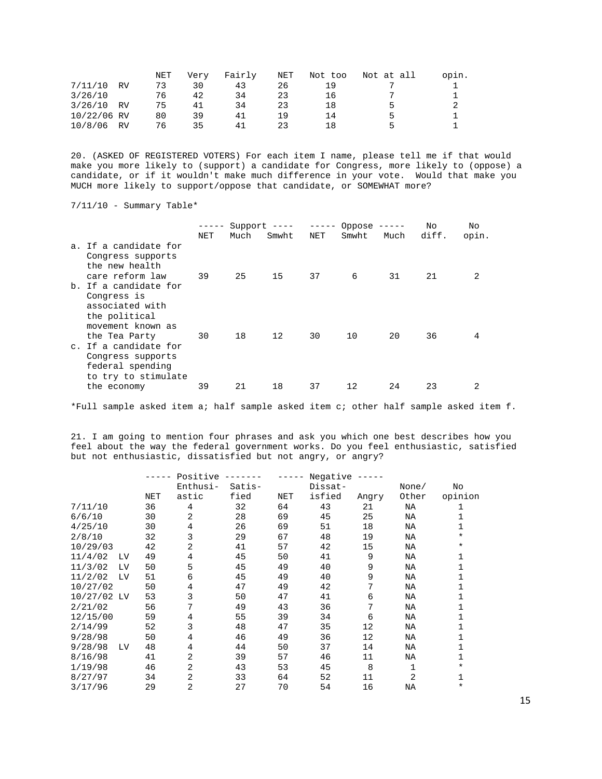|             |    | NET | Very | Fairly | NET | Not too | Not at all | opin. |
|-------------|----|-----|------|--------|-----|---------|------------|-------|
| 7/11/10     | RV | 73  | 30   | 43     | 26  | 1 Q     |            |       |
| 3/26/10     |    | 76  | 42   | 34     | 23  | 16      |            |       |
| 3/26/10     | RV | 75  | 41   | 34     | 23  | 18      | ∽          |       |
| 10/22/06 RV |    | 80  | 39   | 41     | 1 9 | 14      | ь          |       |
| 10/8/06     | RV | 76  | 35   | 41     | 23  | 18      |            |       |

20. (ASKED OF REGISTERED VOTERS) For each item I name, please tell me if that would make you more likely to (support) a candidate for Congress, more likely to (oppose) a candidate, or if it wouldn't make much difference in your vote. Would that make you MUCH more likely to support/oppose that candidate, or SOMEWHAT more?

7/11/10 - Summary Table\*

|                                                              | -----      | Support $---$ |       | $------$ | Oppose $---$ |      | No    | No    |
|--------------------------------------------------------------|------------|---------------|-------|----------|--------------|------|-------|-------|
|                                                              | <b>NET</b> | Much          | Smwht | NET      | Smwht        | Much | diff. | opin. |
| a. If a candidate for<br>Congress supports<br>the new health |            |               |       |          |              |      |       |       |
| care reform law                                              | 39         | 25            | 15    | 37       | 6            | 31   | 21    | 2     |
| b. If a candidate for                                        |            |               |       |          |              |      |       |       |
| Congress is<br>associated with                               |            |               |       |          |              |      |       |       |
| the political                                                |            |               |       |          |              |      |       |       |
| movement known as                                            |            |               |       |          |              |      |       |       |
| the Tea Party                                                | 30         | 18            | 12    | 30       | 10           | 20   | 36    | 4     |
| c. If a candidate for                                        |            |               |       |          |              |      |       |       |
| Congress supports                                            |            |               |       |          |              |      |       |       |
| federal spending                                             |            |               |       |          |              |      |       |       |
| to try to stimulate                                          |            |               |       |          |              |      |       |       |
| the economy                                                  | 39         | 21            | 18    | 37       | 12           | 24   | 23    | 2     |

\*Full sample asked item a; half sample asked item c; other half sample asked item f.

21. I am going to mention four phrases and ask you which one best describes how you feel about the way the federal government works. Do you feel enthusiastic, satisfied but not enthusiastic, dissatisfied but not angry, or angry?

|             |    |     | Positive       |        |     | Negative |       |                |          |
|-------------|----|-----|----------------|--------|-----|----------|-------|----------------|----------|
|             |    |     | Enthusi-       | Satis- |     | Dissat-  |       | None/          | No       |
|             |    | NET | astic          | fied   | NET | isfied   | Angry | Other          | opinion  |
| 7/11/10     |    | 36  | 4              | 32     | 64  | 43       | 21    | ΝA             | 1        |
| 6/6/10      |    | 30  | $\overline{a}$ | 28     | 69  | 45       | 25    | NA             | 1        |
| 4/25/10     |    | 30  | 4              | 26     | 69  | 51       | 18    | <b>NA</b>      | 1        |
| 2/8/10      |    | 32  | 3              | 29     | 67  | 48       | 19    | ΝA             | $\star$  |
| 10/29/03    |    | 42  | 2              | 41     | 57  | 42       | 15    | ΝA             | $\star$  |
| 11/4/02     | LV | 49  | 4              | 45     | 50  | 41       | 9     | NA             | 1        |
| 11/3/02     | LV | 50  | 5              | 45     | 49  | 40       | 9     | NA             | 1        |
| 11/2/02     | LV | 51  | 6              | 45     | 49  | 40       | 9     | ΝA             | 1        |
| 10/27/02    |    | 50  | $\overline{4}$ | 47     | 49  | 42       | 7     | NA             | 1        |
| 10/27/02 LV |    | 53  | 3              | 50     | 47  | 41       | 6     | ΝA             | 1        |
| 2/21/02     |    | 56  | 7              | 49     | 43  | 36       | 7     | NA             | 1        |
| 12/15/00    |    | 59  | 4              | 55     | 39  | 34       | 6     | NA             | 1        |
| 2/14/99     |    | 52  | 3              | 48     | 47  | 35       | 12    | NA             | 1        |
| 9/28/98     |    | 50  | 4              | 46     | 49  | 36       | 12    | NA             | 1        |
| 9/28/98     | LV | 48  | 4              | 44     | 50  | 37       | 14    | ΝA             | 1        |
| 8/16/98     |    | 41  | 2              | 39     | 57  | 46       | 11    | ΝA             | 1        |
| 1/19/98     |    | 46  | 2              | 43     | 53  | 45       | 8     | 1              | $\ast$   |
| 8/27/97     |    | 34  | $\overline{a}$ | 33     | 64  | 52       | 11    | $\overline{2}$ | 1        |
| 3/17/96     |    | 29  | 2              | 27     | 70  | 54       | 16    | ΝA             | $^\star$ |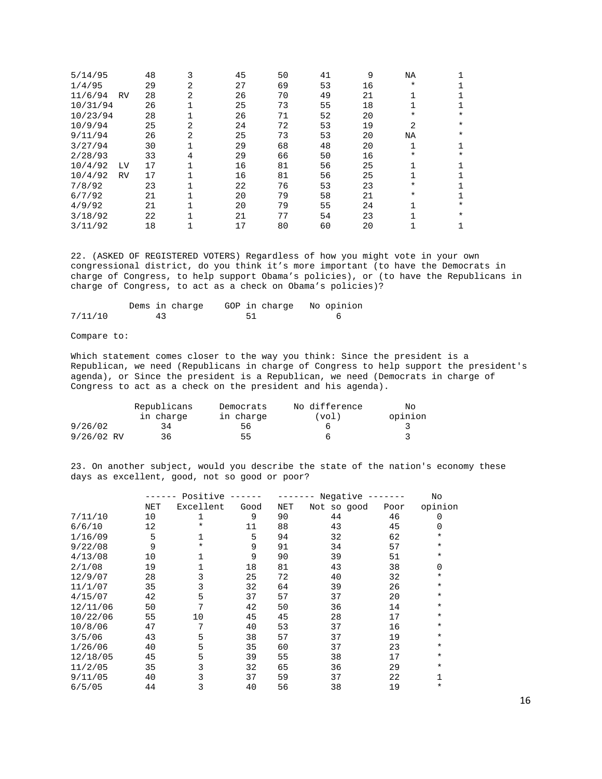| 5/14/95  |           | 48 | 3 | 45 | 50 | 41 | 9  | ΝA           |         |
|----------|-----------|----|---|----|----|----|----|--------------|---------|
| 1/4/95   |           | 29 | 2 | 27 | 69 | 53 | 16 | $\ast$       |         |
| 11/6/94  | <b>RV</b> | 28 | 2 | 26 | 70 | 49 | 21 |              |         |
| 10/31/94 |           | 26 |   | 25 | 73 | 55 | 18 |              |         |
| 10/23/94 |           | 28 |   | 26 | 71 | 52 | 20 | $^\star$     | $\ast$  |
| 10/9/94  |           | 25 | 2 | 24 | 72 | 53 | 19 | 2            | $\star$ |
| 9/11/94  |           | 26 | 2 | 25 | 73 | 53 | 20 | ΝA           | $\star$ |
| 3/27/94  |           | 30 |   | 29 | 68 | 48 | 20 | $\mathbf{1}$ |         |
| 2/28/93  |           | 33 | 4 | 29 | 66 | 50 | 16 | $\ast$       | $\star$ |
| 10/4/92  | LV        | 17 |   | 16 | 81 | 56 | 25 |              |         |
| 10/4/92  | <b>RV</b> | 17 |   | 16 | 81 | 56 | 25 |              |         |
| 7/8/92   |           | 23 |   | 22 | 76 | 53 | 23 | $\ast$       |         |
| 6/7/92   |           | 21 |   | 20 | 79 | 58 | 21 | $\ast$       |         |
| 4/9/92   |           | 21 |   | 20 | 79 | 55 | 24 |              | $\ast$  |
| 3/18/92  |           | 22 |   | 21 | 77 | 54 | 23 |              | $\star$ |
| 3/11/92  |           | 18 |   | 17 | 80 | 60 | 20 |              |         |

22. (ASKED OF REGISTERED VOTERS) Regardless of how you might vote in your own congressional district, do you think it's more important (to have the Democrats in charge of Congress, to help support Obama's policies), or (to have the Republicans in charge of Congress, to act as a check on Obama's policies)?

|         | Dems in charge |  |  | GOP in charge No opinion |
|---------|----------------|--|--|--------------------------|
| 7/11/10 |                |  |  |                          |

Compare to:

Which statement comes closer to the way you think: Since the president is a Republican, we need (Republicans in charge of Congress to help support the president's agenda), or Since the president is a Republican, we need (Democrats in charge of Congress to act as a check on the president and his agenda).

|              | Republicans | Democrats | No difference | Nο      |
|--------------|-------------|-----------|---------------|---------|
|              | in charge   | in charge | (vol)         | opinion |
| 9/26/02      | 34          | 56        |               |         |
| $9/26/02$ RV | 36          | 55        |               |         |

23. On another subject, would you describe the state of the nation's economy these days as excellent, good, not so good or poor?

|          |            | Positive ------ |      |     | Negative $---$ |      | No       |
|----------|------------|-----------------|------|-----|----------------|------|----------|
|          | <b>NET</b> | Excellent       | Good | NET | Not so good    | Poor | opinion  |
| 7/11/10  | 10         | 1               | 9    | 90  | 44             | 46   | 0        |
| 6/6/10   | 12         | $\ast$          | 11   | 88  | 43             | 45   | 0        |
| 1/16/09  | 5          | 1               | 5    | 94  | 32             | 62   | $\ast$   |
| 9/22/08  | 9          | $\ast$          | 9    | 91  | 34             | 57   | $^\star$ |
| 4/13/08  | 10         | 1               | 9    | 90  | 39             | 51   | $\ast$   |
| 2/1/08   | 19         |                 | 18   | 81  | 43             | 38   | 0        |
| 12/9/07  | 28         | 3               | 25   | 72  | 40             | 32   | $^\star$ |
| 11/1/07  | 35         | 3               | 32   | 64  | 39             | 26   | $^\star$ |
| 4/15/07  | 42         | 5               | 37   | 57  | 37             | 20   | $\ast$   |
| 12/11/06 | 50         | 7               | 42   | 50  | 36             | 14   | $^\star$ |
| 10/22/06 | 55         | 10              | 45   | 45  | 28             | 17   | $\ast$   |
| 10/8/06  | 47         | 7               | 40   | 53  | 37             | 16   | $^\star$ |
| 3/5/06   | 43         | 5               | 38   | 57  | 37             | 19   | $\ast$   |
| 1/26/06  | 40         | 5               | 35   | 60  | 37             | 23   | $^\star$ |
| 12/18/05 | 45         | 5               | 39   | 55  | 38             | 17   | $^\star$ |
| 11/2/05  | 35         | 3               | 32   | 65  | 36             | 29   | $\ast$   |
| 9/11/05  | 40         | 3               | 37   | 59  | 37             | 22   | 1        |
| 6/5/05   | 44         | 3               | 40   | 56  | 38             | 19   | $^\star$ |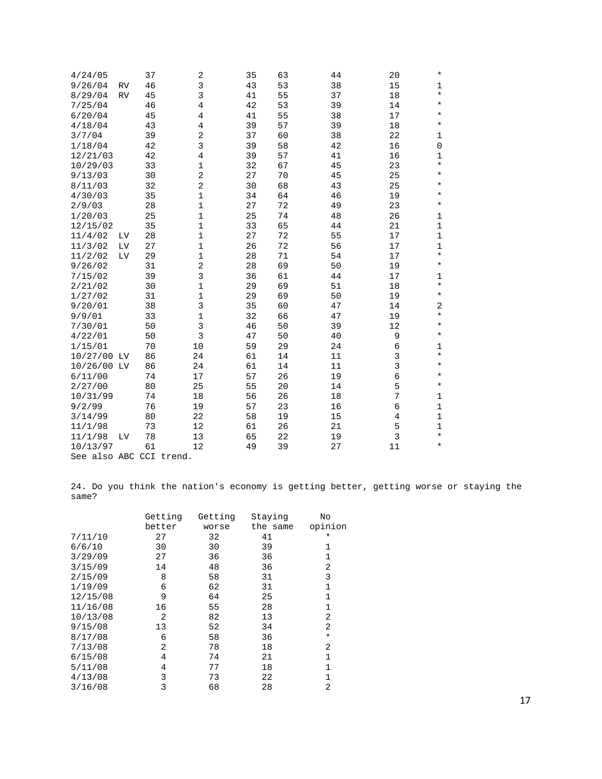| 4/24/05                 |           | 37 | $\overline{2}$ | 35 | 63 | 44 | 20             | $\star$      |
|-------------------------|-----------|----|----------------|----|----|----|----------------|--------------|
| 9/26/04                 | <b>RV</b> | 46 | $\overline{3}$ | 43 | 53 | 38 | 15             | $\mathbf 1$  |
| 8/29/04                 | <b>RV</b> | 45 | 3              | 41 | 55 | 37 | 18             | $^\star$     |
| 7/25/04                 |           | 46 | $\overline{4}$ | 42 | 53 | 39 | 14             | $\star$      |
| 6/20/04                 |           | 45 | 4              | 41 | 55 | 38 | 17             | $^\star$     |
| 4/18/04                 |           | 43 | 4              | 39 | 57 | 39 | 18             | $\star$      |
| 3/7/04                  |           | 39 | $\sqrt{2}$     | 37 | 60 | 38 | 22             | 1            |
| 1/18/04                 |           | 42 | 3              | 39 | 58 | 42 | 16             | $\mathsf 0$  |
| 12/21/03                |           | 42 | $\overline{4}$ | 39 | 57 | 41 | 16             | 1            |
| 10/29/03                |           | 33 | $\mathbf{1}$   | 32 | 67 | 45 | 23             | $\star$      |
| 9/13/03                 |           | 30 | $\overline{2}$ | 27 | 70 | 45 | 25             | $\star$      |
| 8/11/03                 |           | 32 | $\overline{a}$ | 30 | 68 | 43 | 25             | $^\star$     |
| 4/30/03                 |           | 35 | $\mathbf 1$    | 34 | 64 | 46 | 19             | $\star$      |
| 2/9/03                  |           | 28 | $\mathbf 1$    | 27 | 72 | 49 | 23             | $\star$      |
| 1/20/03                 |           | 25 | $\mathbf 1$    | 25 | 74 | 48 | 26             | $1\,$        |
| 12/15/02                |           | 35 | $\mathbf 1$    | 33 | 65 | 44 | 21             | $\mathbf 1$  |
| 11/4/02                 | LV        | 28 | $\mathbf 1$    | 27 | 72 | 55 | 17             | $\mathbf{1}$ |
| 11/3/02                 | LV        | 27 | $\mathbf 1$    | 26 | 72 | 56 | 17             | $\mathbf 1$  |
| 11/2/02                 | LV        | 29 | $\mathbf 1$    | 28 | 71 | 54 | 17             | $\star$      |
| 9/26/02                 |           | 31 | $\overline{2}$ | 28 | 69 | 50 | 19             | $\star$      |
| 7/15/02                 |           | 39 | 3              | 36 | 61 | 44 | 17             | 1            |
| 2/21/02                 |           | 30 | $\mathbf 1$    | 29 | 69 | 51 | 18             | $\star$      |
| 1/27/02                 |           | 31 | $\mathbf 1$    | 29 | 69 | 50 | 19             | $\star$      |
| 9/20/01                 |           | 38 | 3              | 35 | 60 | 47 | 14             | 2            |
| 9/9/01                  |           | 33 | $\mathbf 1$    | 32 | 66 | 47 | 19             | $\star$      |
| 7/30/01                 |           | 50 | 3              | 46 | 50 | 39 | 12             | $\star$      |
| 4/22/01                 |           | 50 | $\overline{3}$ | 47 | 50 | 40 | 9              | $^\star$     |
| 1/15/01                 |           | 70 | 10             | 59 | 29 | 24 | 6              | $\mathbf{1}$ |
| 10/27/00 LV             |           | 86 | 24             | 61 | 14 | 11 | $\mathsf{3}$   | $\star$      |
| 10/26/00 LV             |           | 86 | 24             | 61 | 14 | 11 | 3              | $^\star$     |
| 6/11/00                 |           | 74 | 17             | 57 | 26 | 19 | 6              | $\star$      |
| 2/27/00                 |           | 80 | 25             | 55 | 20 | 14 | 5              | $\star$      |
| 10/31/99                |           | 74 | 18             | 56 | 26 | 18 | 7              | 1            |
| 9/2/99                  |           | 76 | 19             | 57 | 23 | 16 | 6              | $\mathbf 1$  |
| 3/14/99                 |           | 80 | 22             | 58 | 19 | 15 | $\overline{4}$ | $\mathbf 1$  |
| 11/1/98                 |           | 73 | 12             | 61 | 26 | 21 | 5              | $\mathbf 1$  |
| 11/1/98                 | LV        | 78 | 13             | 65 | 22 | 19 | 3              | $\star$      |
| 10/13/97                |           | 61 | 12             | 49 | 39 | 27 | 11             | $\star$      |
| See also ABC CCI trend. |           |    |                |    |    |    |                |              |

24. Do you think the nation's economy is getting better, getting worse or staying the same?

|          | Getting | Getting | Staying  | No             |
|----------|---------|---------|----------|----------------|
|          | better  | worse   | the same | opinion        |
| 7/11/10  | 27      | 32      | 41       | $\ast$         |
| 6/6/10   | 30      | 30      | 39       | 1              |
| 3/29/09  | 27      | 36      | 36       | 1              |
| 3/15/09  | 14      | 48      | 36       | $\overline{2}$ |
| 2/15/09  | 8       | 58      | 31       | 3              |
| 1/19/09  | 6       | 62      | 31       | $\mathbf{1}$   |
| 12/15/08 | 9       | 64      | 25       | 1              |
| 11/16/08 | 16      | 55      | 28       | 1              |
| 10/13/08 | 2       | 82      | 13       | 2              |
| 9/15/08  | 13      | 52      | 34       | $\overline{2}$ |
| 8/17/08  | 6       | 58      | 36       | $\star$        |
| 7/13/08  | 2       | 78      | 18       | 2              |
| 6/15/08  | 4       | 74      | 21       | $\mathbf{1}$   |
| 5/11/08  | 4       | 77      | 18       | 1              |
| 4/13/08  | 3       | 73      | 22       | 1              |
| 3/16/08  | 3       | 68      | 28       | $\overline{2}$ |